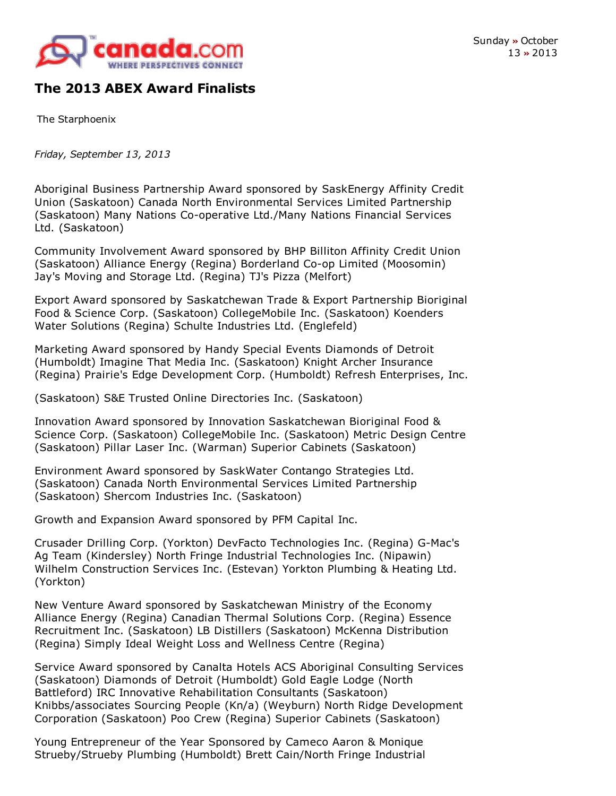

## **The 2013 ABEX Award Finalists**

The Starphoenix

*Friday, September 13, 2013*

Aboriginal Business Partnership Award sponsored by SaskEnergy Affinity Credit Union (Saskatoon) Canada North Environmental Services Limited Partnership (Saskatoon) Many Nations Co-operative Ltd./Many Nations Financial Services Ltd. (Saskatoon)

Community Involvement Award sponsored by BHP Billiton Affinity Credit Union (Saskatoon) Alliance Energy (Regina) Borderland Co-op Limited (Moosomin) Jay's Moving and Storage Ltd. (Regina) TJ's Pizza (Melfort)

Export Award sponsored by Saskatchewan Trade & Export Partnership Bioriginal Food & Science Corp. (Saskatoon) CollegeMobile Inc. (Saskatoon) Koenders Water Solutions (Regina) Schulte Industries Ltd. (Englefeld)

Marketing Award sponsored by Handy Special Events Diamonds of Detroit (Humboldt) Imagine That Media Inc. (Saskatoon) Knight Archer Insurance (Regina) Prairie's Edge Development Corp. (Humboldt) Refresh Enterprises, Inc.

(Saskatoon) S&E Trusted Online Directories Inc. (Saskatoon)

Innovation Award sponsored by Innovation Saskatchewan Bioriginal Food & Science Corp. (Saskatoon) CollegeMobile Inc. (Saskatoon) Metric Design Centre (Saskatoon) Pillar Laser Inc. (Warman) Superior Cabinets (Saskatoon)

Environment Award sponsored by SaskWater Contango Strategies Ltd. (Saskatoon) Canada North Environmental Services Limited Partnership (Saskatoon) Shercom Industries Inc. (Saskatoon)

Growth and Expansion Award sponsored by PFM Capital Inc.

Crusader Drilling Corp. (Yorkton) DevFacto Technologies Inc. (Regina) G-Mac's Ag Team (Kindersley) North Fringe Industrial Technologies Inc. (Nipawin) Wilhelm Construction Services Inc. (Estevan) Yorkton Plumbing & Heating Ltd. (Yorkton)

New Venture Award sponsored by Saskatchewan Ministry of the Economy Alliance Energy (Regina) Canadian Thermal Solutions Corp. (Regina) Essence Recruitment Inc. (Saskatoon) LB Distillers (Saskatoon) McKenna Distribution (Regina) Simply Ideal Weight Loss and Wellness Centre (Regina)

Service Award sponsored by Canalta Hotels ACS Aboriginal Consulting Services (Saskatoon) Diamonds of Detroit (Humboldt) Gold Eagle Lodge (North Battleford) IRC Innovative Rehabilitation Consultants (Saskatoon) Knibbs/associates Sourcing People (Kn/a) (Weyburn) North Ridge Development Corporation (Saskatoon) Poo Crew (Regina) Superior Cabinets (Saskatoon)

Young Entrepreneur of the Year Sponsored by Cameco Aaron & Monique Strueby/Strueby Plumbing (Humboldt) Brett Cain/North Fringe Industrial